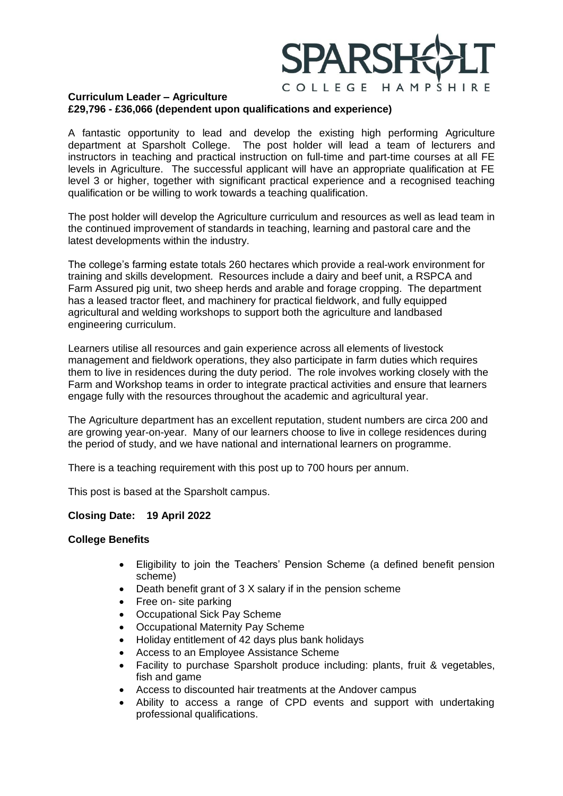## COLLEGE HAMPSHIRE

## **Curriculum Leader – Agriculture £29,796 - £36,066 (dependent upon qualifications and experience)**

A fantastic opportunity to lead and develop the existing high performing Agriculture department at Sparsholt College. The post holder will lead a team of lecturers and instructors in teaching and practical instruction on full-time and part-time courses at all FE levels in Agriculture. The successful applicant will have an appropriate qualification at FE level 3 or higher, together with significant practical experience and a recognised teaching qualification or be willing to work towards a teaching qualification.

The post holder will develop the Agriculture curriculum and resources as well as lead team in the continued improvement of standards in teaching, learning and pastoral care and the latest developments within the industry.

The college's farming estate totals 260 hectares which provide a real-work environment for training and skills development. Resources include a dairy and beef unit, a RSPCA and Farm Assured pig unit, two sheep herds and arable and forage cropping. The department has a leased tractor fleet, and machinery for practical fieldwork, and fully equipped agricultural and welding workshops to support both the agriculture and landbased engineering curriculum.

Learners utilise all resources and gain experience across all elements of livestock management and fieldwork operations, they also participate in farm duties which requires them to live in residences during the duty period. The role involves working closely with the Farm and Workshop teams in order to integrate practical activities and ensure that learners engage fully with the resources throughout the academic and agricultural year.

The Agriculture department has an excellent reputation, student numbers are circa 200 and are growing year-on-year. Many of our learners choose to live in college residences during the period of study, and we have national and international learners on programme.

There is a teaching requirement with this post up to 700 hours per annum.

This post is based at the Sparsholt campus.

## **Closing Date: 19 April 2022**

## **College Benefits**

- Eligibility to join the Teachers' Pension Scheme (a defined benefit pension scheme)
- Death benefit grant of 3 X salary if in the pension scheme
- Free on- site parking
- Occupational Sick Pay Scheme
- Occupational Maternity Pay Scheme
- Holiday entitlement of 42 days plus bank holidays
- Access to an Employee Assistance Scheme
- Facility to purchase Sparsholt produce including: plants, fruit & vegetables, fish and game
- Access to discounted hair treatments at the Andover campus
- Ability to access a range of CPD events and support with undertaking professional qualifications.